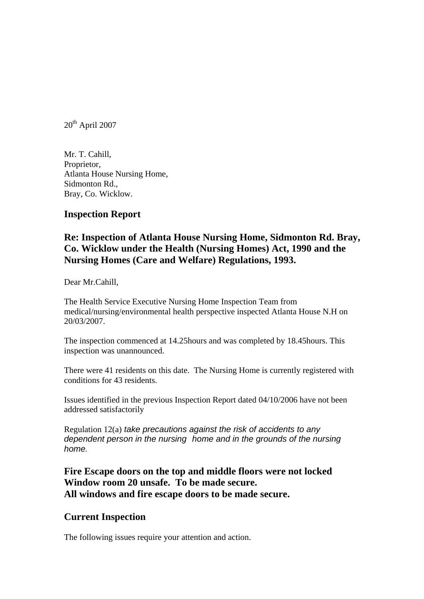$20^{th}$  April 2007

Mr. T. Cahill, Proprietor, Atlanta House Nursing Home, Sidmonton Rd., Bray, Co. Wicklow.

## **Inspection Report**

## **Re: Inspection of Atlanta House Nursing Home, Sidmonton Rd. Bray, Co. Wicklow under the Health (Nursing Homes) Act, 1990 and the Nursing Homes (Care and Welfare) Regulations, 1993.**

Dear Mr.Cahill,

The Health Service Executive Nursing Home Inspection Team from medical/nursing/environmental health perspective inspected Atlanta House N.H on 20/03/2007.

The inspection commenced at 14.25hours and was completed by 18.45hours. This inspection was unannounced.

There were 41 residents on this date. The Nursing Home is currently registered with conditions for 43 residents.

Issues identified in the previous Inspection Report dated 04/10/2006 have not been addressed satisfactorily

Regulation 12(a) *take precautions against the risk of accidents to any dependent person in the nursing home and in the grounds of the nursing home.* 

**Fire Escape doors on the top and middle floors were not locked Window room 20 unsafe. To be made secure. All windows and fire escape doors to be made secure.** 

## **Current Inspection**

The following issues require your attention and action.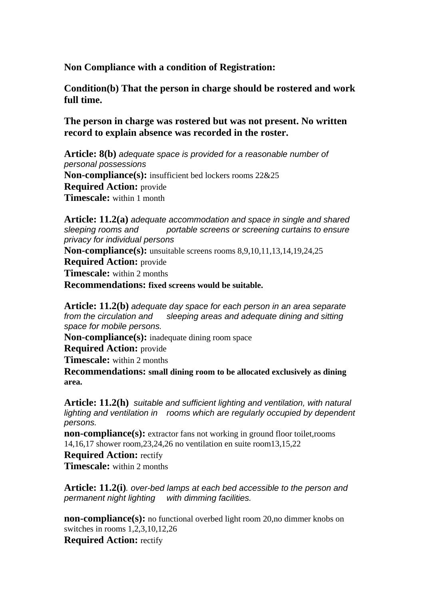## **Non Compliance with a condition of Registration:**

**Condition(b) That the person in charge should be rostered and work full time.** 

**The person in charge was rostered but was not present. No written record to explain absence was recorded in the roster.** 

**Article: 8(b)** *adequate space is provided for a reasonable number of personal possessions*  **Non-compliance(s):** insufficient bed lockers rooms 22&25 **Required Action:** provide **Timescale:** within 1 month

**Article: 11.2(a)** *adequate accommodation and space in single and shared sleeping rooms and portable screens or screening curtains to ensure privacy for individual persons*

**Non-compliance(s):** unsuitable screens rooms 8,9,10,11,13,14,19,24,25

**Required Action:** provide

**Timescale:** within 2 months

**Recommendations: fixed screens would be suitable.**

**Article: 11.2(b)** *adequate day space for each person in an area separate from the circulation and sleeping areas and adequate dining and sitting space for mobile persons.* 

**Non-compliance(s):** inadequate dining room space

**Required Action:** provide

**Timescale:** within 2 months

**Recommendations: small dining room to be allocated exclusively as dining area.**

**Article: 11.2(h)** *suitable and sufficient lighting and ventilation, with natural lighting and ventilation in rooms which are regularly occupied by dependent persons.* 

**non-compliance(s):** extractor fans not working in ground floor toilet, rooms 14,16,17 shower room,23,24,26 no ventilation en suite room13,15,22

**Required Action:** rectify **Timescale:** within 2 months

**Article: 11.2(i)***. over-bed lamps at each bed accessible to the person and permanent night lighting with dimming facilities.* 

**non-compliance(s):** no functional overbed light room 20, no dimmer knobs on switches in rooms 1,2,3,10,12,26 **Required Action:** rectify